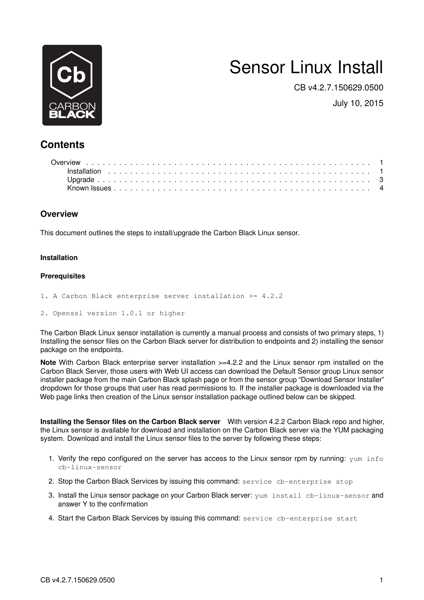

# Sensor Linux Install

CB v4.2.7.150629.0500

July 10, 2015

## **Contents**

### <span id="page-0-0"></span>**Overview**

This document outlines the steps to install/upgrade the Carbon Black Linux sensor.

#### <span id="page-0-1"></span>**Installation**

#### **Prerequisites**

- 1. A Carbon Black enterprise server installation >= 4.2.2
- 2. Openssl version 1.0.1 or higher

The Carbon Black Linux sensor installation is currently a manual process and consists of two primary steps, 1) Installing the sensor files on the Carbon Black server for distribution to endpoints and 2) installing the sensor package on the endpoints.

**Note** With Carbon Black enterprise server installation >=4.2.2 and the Linux sensor rpm installed on the Carbon Black Server, those users with Web UI access can download the Default Sensor group Linux sensor installer package from the main Carbon Black splash page or from the sensor group "Download Sensor Installer" dropdown for those groups that user has read permissions to. If the installer package is downloaded via the Web page links then creation of the Linux sensor installation package outlined below can be skipped.

**Installing the Sensor files on the Carbon Black server** With version 4.2.2 Carbon Black repo and higher, the Linux sensor is available for download and installation on the Carbon Black server via the YUM packaging system. Download and install the Linux sensor files to the server by following these steps:

- 1. Verify the repo configured on the server has access to the Linux sensor rpm by running: yum info cb-linux-sensor
- 2. Stop the Carbon Black Services by issuing this command: service cb-enterprise stop
- 3. Install the Linux sensor package on your Carbon Black server: yum install cb-linux-sensor and answer Y to the confirmation
- 4. Start the Carbon Black Services by issuing this command: service cb-enterprise start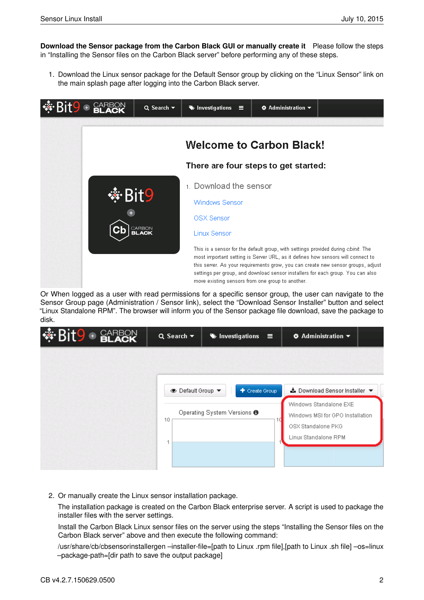**Download the Sensor package from the Carbon Black GUI or manually create it** Please follow the steps in "Installing the Sensor files on the Carbon Black server" before performing any of these steps.

1. Download the Linux sensor package for the Default Sensor group by clicking on the "Linux Sensor" link on the main splash page after logging into the Carbon Black server.



Or When logged as a user with read permissions for a specific sensor group, the user can navigate to the Sensor Group page (Administration / Sensor link), select the "Download Sensor Installer" button and select "Linux Standalone RPM". The browser will inform you of the Sensor package file download, save the package to disk.

| <b>SEP BLACK</b> | $Q$ Search $\blacktriangledown$ | Investigations                                           | $\equiv$ | $\clubsuit$ Administration $\blacktriangledown$                                                                                           |  |
|------------------|---------------------------------|----------------------------------------------------------|----------|-------------------------------------------------------------------------------------------------------------------------------------------|--|
|                  | <b>S</b> Default Group ▼<br>10  | + Create Group<br>Operating System Versions <sup>6</sup> | 10       | ▲ Download Sensor Installer ▼<br>Windows Standalone EXE<br>Windows MSI for GPO Installation<br>OSX Standalone PKG<br>Linux Standalone RPM |  |

2. Or manually create the Linux sensor installation package.

The installation package is created on the Carbon Black enterprise server. A script is used to package the installer files with the server settings.

Install the Carbon Black Linux sensor files on the server using the steps "Installing the Sensor files on the Carbon Black server" above and then execute the following command:

/usr/share/cb/cbsensorinstallergen –installer-file=[path to Linux .rpm file],[path to Linux .sh file] –os=linux –package-path=[dir path to save the output package]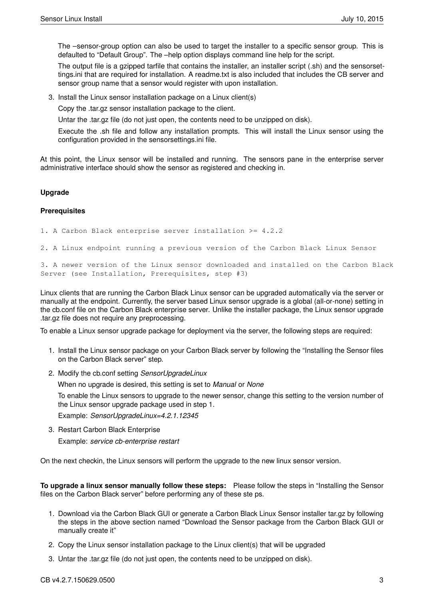The –sensor-group option can also be used to target the installer to a specific sensor group. This is defaulted to "Default Group". The –help option displays command line help for the script.

The output file is a gzipped tarfile that contains the installer, an installer script (.sh) and the sensorsettings.ini that are required for installation. A readme.txt is also included that includes the CB server and sensor group name that a sensor would register with upon installation.

3. Install the Linux sensor installation package on a Linux client(s)

Copy the .tar.gz sensor installation package to the client.

Untar the .tar.gz file (do not just open, the contents need to be unzipped on disk).

Execute the .sh file and follow any installation prompts. This will install the Linux sensor using the configuration provided in the sensorsettings.ini file.

At this point, the Linux sensor will be installed and running. The sensors pane in the enterprise server administrative interface should show the sensor as registered and checking in.

#### <span id="page-2-0"></span>**Upgrade**

#### **Prerequisites**

1. A Carbon Black enterprise server installation >= 4.2.2

2. A Linux endpoint running a previous version of the Carbon Black Linux Sensor

3. A newer version of the Linux sensor downloaded and installed on the Carbon Black Server (see Installation, Prerequisites, step #3)

Linux clients that are running the Carbon Black Linux sensor can be upgraded automatically via the server or manually at the endpoint. Currently, the server based Linux sensor upgrade is a global (all-or-none) setting in the cb.conf file on the Carbon Black enterprise server. Unlike the installer package, the Linux sensor upgrade .tar.gz file does not require any preprocessing.

To enable a Linux sensor upgrade package for deployment via the server, the following steps are required:

- 1. Install the Linux sensor package on your Carbon Black server by following the "Installing the Sensor files on the Carbon Black server" step.
- 2. Modify the cb.conf setting *SensorUpgradeLinux*

When no upgrade is desired, this setting is set to *Manual* or *None*

To enable the Linux sensors to upgrade to the newer sensor, change this setting to the version number of the Linux sensor upgrade package used in step 1.

Example: *SensorUpgradeLinux=4.2.1.12345*

3. Restart Carbon Black Enterprise Example: *service cb-enterprise restart*

On the next checkin, the Linux sensors will perform the upgrade to the new linux sensor version.

**To upgrade a linux sensor manually follow these steps:** Please follow the steps in "Installing the Sensor files on the Carbon Black server" before performing any of these ste ps.

- 1. Download via the Carbon Black GUI or generate a Carbon Black Linux Sensor installer tar.gz by following the steps in the above section named "Download the Sensor package from the Carbon Black GUI or manually create it"
- 2. Copy the Linux sensor installation package to the Linux client(s) that will be upgraded
- 3. Untar the .tar.gz file (do not just open, the contents need to be unzipped on disk).